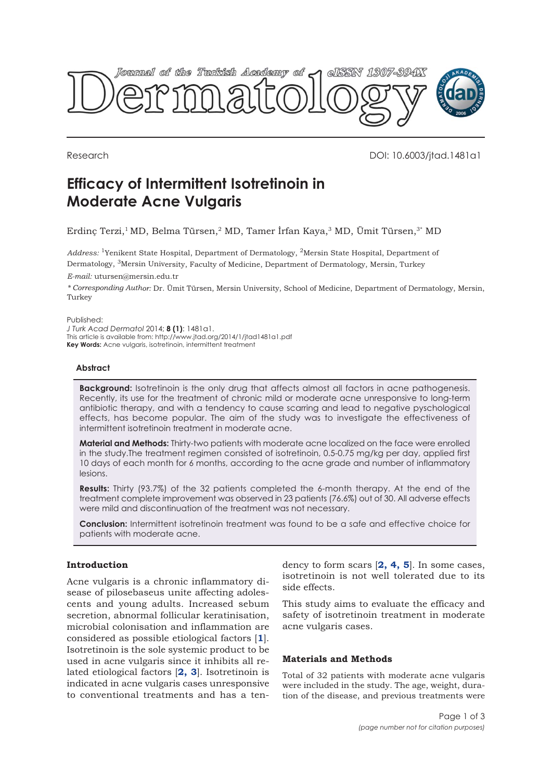

Research DOI: 10.6003/jtad.1481a1

# **Efficacy of Intermittent Isotretinoin in Moderate Acne Vulgaris**

Erdinç Terzi,1 MD, Belma Türsen,2 MD, Tamer İrfan Kaya,3 MD, Ümit Türsen,3\* MD

*Address:* 1Yenikent State Hospital, Department of Dermatology, 2Mersin State Hospital, Department of Dermatology, 3Mersin University, Faculty of Medicine, Department of Dermatology, Mersin, Turkey

*E-mail:* utursen@mersin.edu.tr

*\* Corresponding Author:* Dr. Ümit Türsen, Mersin University, School of Medicine, Department of Dermatology, Mersin, Turkey

#### Published:

*J Turk Acad Dermatol* 2014; **8 (1)**: 1481a1. This article is available from: http://www.jtad.org/2014/1/jtad1481a1.pdf **Key Words:** Acne vulgaris, isotretinoin, intermittent treatment

## **Abstract**

**Background:** Isotretinoin is the only drug that affects almost all factors in acne pathogenesis. Recently, its use for the treatment of chronic mild or moderate acne unresponsive to long-term antibiotic therapy, and with a tendency to cause scarring and lead to negative pyschological effects, has become popular. The aim of the study was to investigate the effectiveness of intermittent isotretinoin treatment in moderate acne.

**Material and Methods:** Thirty-two patients with moderate acne localized on the face were enrolled in the study.The treatment regimen consisted of isotretinoin, 0.5-0.75 mg/kg per day, applied first 10 days of each month for 6 months, according to the acne grade and number of inflammatory lesions.

**Results:** Thirty (93.7%) of the 32 patients completed the 6-month therapy. At the end of the treatment complete improvement was observed in 23 patients (76.6%) out of 30. All adverse effects were mild and discontinuation of the treatment was not necessary.

**Conclusion:** Intermittent isotretinoin treatment was found to be a safe and effective choice for patients with moderate acne.

## **Introduction**

Acne vulgaris is a chronic inflammatory disease of pilosebaseus unite affecting adolescents and young adults. Increased sebum secretion, abnormal follicular keratinisation, microbial colonisation and inflammation are considered as possible etiological factors [**1**]. Isotretinoin is the sole systemic product to be used in acne vulgaris since it inhibits all related etiological factors [**2, 3**]. Isotretinoin is indicated in acne vulgaris cases unresponsive to conventional treatments and has a tendency to form scars [**2, 4, 5**]. In some cases, isotretinoin is not well tolerated due to its side effects.

This study aims to evaluate the efficacy and safety of isotretinoin treatment in moderate acne vulgaris cases.

## **Materials and Methods**

Total of 32 patients with moderate acne vulgaris were included in the study. The age, weight, duration of the disease, and previous treatments were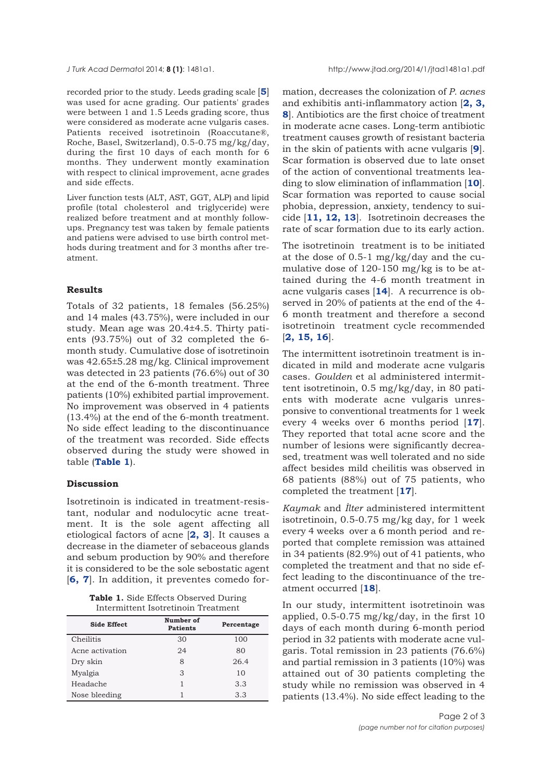recorded prior to the study. Leeds grading scale [**5**] was used for acne grading. Our patients' grades were between 1 and 1.5 Leeds grading score, thus were considered as moderate acne vulgaris cases. Patients received isotretinoin (Roaccutane®, Roche, Basel, Switzerland), 0.5-0.75 mg/kg/day, during the first 10 days of each month for 6 months. They underwent montly examination with respect to clinical improvement, acne grades and side effects.

Liver function tests (ALT, AST, GGT, ALP) and lipid profile (total cholesterol and triglyceride) were realized before treatment and at monthly followups. Pregnancy test was taken by female patients and patiens were advised to use birth control methods during treatment and for 3 months after treatment.

# **Results**

Totals of 32 patients, 18 females (56.25%) and 14 males (43.75%), were included in our study. Mean age was 20.4±4.5. Thirty patients (93.75%) out of 32 completed the 6 month study. Cumulative dose of isotretinoin was 42.65±5.28 mg/kg. Clinical improvement was detected in 23 patients (76.6%) out of 30 at the end of the 6-month treatment. Three patients (10%) exhibited partial improvement. No improvement was observed in 4 patients (13.4%) at the end of the 6-month treatment. No side effect leading to the discontinuance of the treatment was recorded. Side effects observed during the study were showed in table (**Table 1**).

# **Discussion**

Isotretinoin is indicated in treatment-resistant, nodular and nodulocytic acne treatment. It is the sole agent affecting all etiological factors of acne [**2, 3**]. It causes a decrease in the diameter of sebaceous glands and sebum production by 90% and therefore it is considered to be the sole sebostatic agent [**6, 7**]. In addition, it preventes comedo for-

**Table 1.** Side Effects Observed During Intermittent Isotretinoin Treatment

| <b>Side Effect</b> | Number of<br><b>Patients</b> | Percentage |
|--------------------|------------------------------|------------|
| Cheilitis          | 30                           | 100        |
| Acne activation    | 24                           | 80         |
| Dry skin           | 8                            | 26.4       |
| Myalgia            | 3                            | 10         |
| Headache           |                              | 3.3        |
| Nose bleeding      |                              | 3.3        |

mation, decreases the colonization of *P. acnes* and exhibitis anti-inflammatory action [**2, 3, 8**]. Antibiotics are the first choice of treatment in moderate acne cases. Long-term antibiotic treatment causes growth of resistant bacteria in the skin of patients with acne vulgaris [**9**]. Scar formation is observed due to late onset of the action of conventional treatments leading to slow elimination of inflammation [**10**]. Scar formation was reported to cause social phobia, depression, anxiety, tendency to suicide [**11, 12, 13**]. Isotretinoin decreases the rate of scar formation due to its early action.

The isotretinoin treatment is to be initiated at the dose of 0.5-1 mg/kg/day and the cumulative dose of 120-150 mg/kg is to be attained during the 4-6 month treatment in acne vulgaris cases [**14**]. A recurrence is observed in 20% of patients at the end of the 4- 6 month treatment and therefore a second isotretinoin treatment cycle recommended [**2, 15, 16**].

The intermittent isotretinoin treatment is indicated in mild and moderate acne vulgaris cases. *Goulden* et al administered intermittent isotretinoin, 0.5 mg/kg/day, in 80 patients with moderate acne vulgaris unresponsive to conventional treatments for 1 week every 4 weeks over 6 months period [**17**]. They reported that total acne score and the number of lesions were significantly decreased, treatment was well tolerated and no side affect besides mild cheilitis was observed in 68 patients (88%) out of 75 patients, who completed the treatment [**17**].

*Kaymak* and *İlter* administered intermittent isotretinoin, 0.5-0.75 mg/kg day, for 1 week every 4 weeks over a 6 month period and reported that complete remission was attained in 34 patients (82.9%) out of 41 patients, who completed the treatment and that no side effect leading to the discontinuance of the treatment occurred [**18**].

In our study, intermittent isotretinoin was applied, 0.5-0.75 mg/kg/day, in the first 10 days of each month during 6-month period period in 32 patients with moderate acne vulgaris. Total remission in 23 patients (76.6%) and partial remission in 3 patients (10%) was attained out of 30 patients completing the study while no remission was observed in 4 patients (13.4%). No side effect leading to the